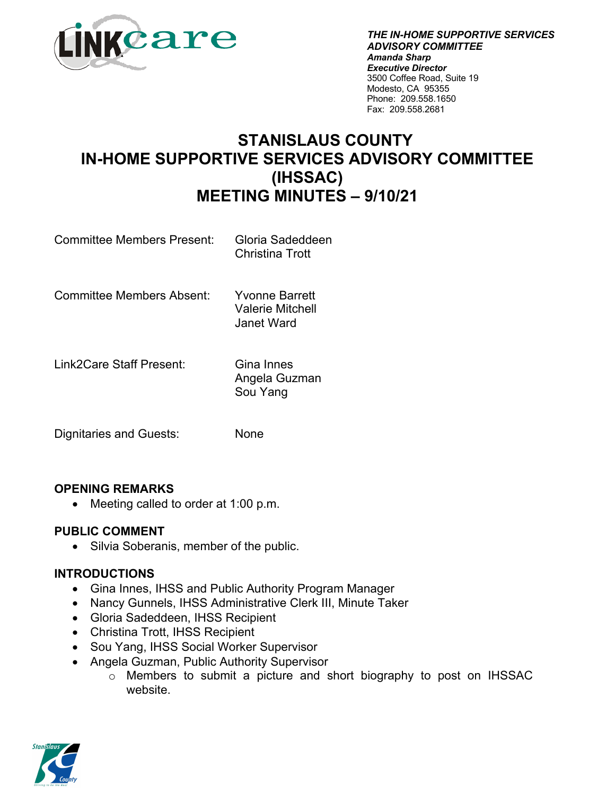

*THE IN-HOME SUPPORTIVE SERVICES ADVISORY COMMITTEE Amanda Sharp Executive Director* 3500 Coffee Road, Suite 19 Modesto, CA 95355 Phone: 209.558.1650 Fax: 209.558.2681

# **STANISLAUS COUNTY IN-HOME SUPPORTIVE SERVICES ADVISORY COMMITTEE (IHSSAC) MEETING MINUTES – 9/10/21**

Committee Members Present: Gloria Sadeddeen

Christina Trott

Committee Members Absent: Yvonne Barrett

Valerie Mitchell Janet Ward

Link2Care Staff Present: Gina Innes

Angela Guzman Sou Yang

Dignitaries and Guests: None

# **OPENING REMARKS**

• Meeting called to order at 1:00 p.m.

### **PUBLIC COMMENT**

• Silvia Soberanis, member of the public.

#### **INTRODUCTIONS**

- Gina Innes, IHSS and Public Authority Program Manager
- Nancy Gunnels, IHSS Administrative Clerk III, Minute Taker
- Gloria Sadeddeen, IHSS Recipient
- Christina Trott, IHSS Recipient
- Sou Yang, IHSS Social Worker Supervisor
- Angela Guzman, Public Authority Supervisor
	- o Members to submit a picture and short biography to post on IHSSAC website.

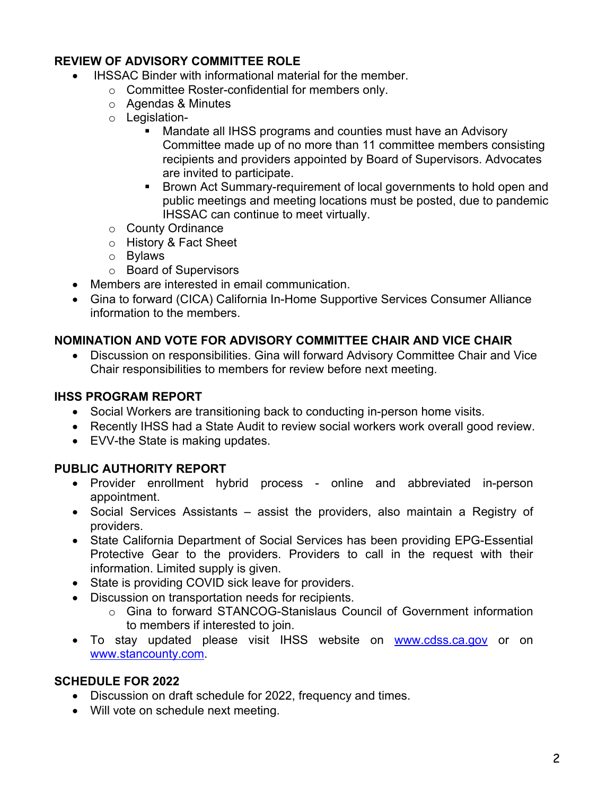## **REVIEW OF ADVISORY COMMITTEE ROLE**

- IHSSAC Binder with informational material for the member.
	- o Committee Roster-confidential for members only.
	- o Agendas & Minutes
	- o Legislation-
		- Mandate all IHSS programs and counties must have an Advisory Committee made up of no more than 11 committee members consisting recipients and providers appointed by Board of Supervisors. Advocates are invited to participate.
		- Brown Act Summary-requirement of local governments to hold open and public meetings and meeting locations must be posted, due to pandemic IHSSAC can continue to meet virtually.
	- o County Ordinance
	- o History & Fact Sheet
	- o Bylaws
	- o Board of Supervisors
- Members are interested in email communication.
- Gina to forward (CICA) California In-Home Supportive Services Consumer Alliance information to the members.

### **NOMINATION AND VOTE FOR ADVISORY COMMITTEE CHAIR AND VICE CHAIR**

• Discussion on responsibilities. Gina will forward Advisory Committee Chair and Vice Chair responsibilities to members for review before next meeting.

### **IHSS PROGRAM REPORT**

- Social Workers are transitioning back to conducting in-person home visits.
- Recently IHSS had a State Audit to review social workers work overall good review.
- EVV-the State is making updates.

### **PUBLIC AUTHORITY REPORT**

- Provider enrollment hybrid process online and abbreviated in-person appointment.
- Social Services Assistants assist the providers, also maintain a Registry of providers.
- State California Department of Social Services has been providing EPG-Essential Protective Gear to the providers. Providers to call in the request with their information. Limited supply is given.
- State is providing COVID sick leave for providers.
- Discussion on transportation needs for recipients.
	- $\circ$  Gina to forward STANCOG-Stanislaus Council of Government information to members if interested to join.
- To stay updated please visit IHSS website on www.cdss.ca.gov or on www.stancounty.com.

### **SCHEDULE FOR 2022**

- Discussion on draft schedule for 2022, frequency and times.
- Will vote on schedule next meeting.